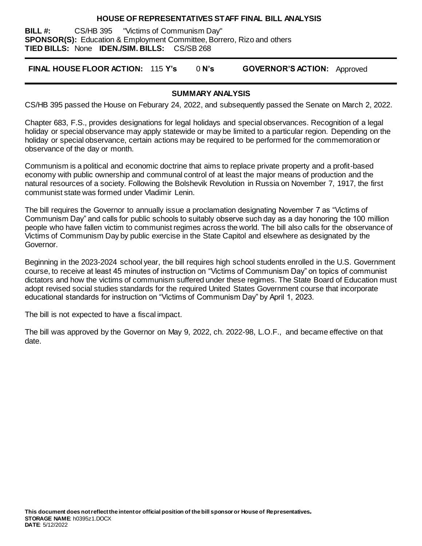#### **HOUSE OF REPRESENTATIVES STAFF FINAL BILL ANALYSIS**

**BILL #:** CS/HB 395 "Victims of Communism Day" **SPONSOR(S):** Education & Employment Committee, Borrero, Rizo and others **TIED BILLS:** None **IDEN./SIM. BILLS:** CS/SB 268

**FINAL HOUSE FLOOR ACTION:** 115 **Y's** 0 **N's GOVERNOR'S ACTION:** Approved

#### **SUMMARY ANALYSIS**

CS/HB 395 passed the House on Feburary 24, 2022, and subsequently passed the Senate on March 2, 2022.

Chapter 683, F.S., provides designations for legal holidays and special observances. Recognition of a legal holiday or special observance may apply statewide or may be limited to a particular region. Depending on the holiday or special observance, certain actions may be required to be performed for the commemoration or observance of the day or month.

Communism is a political and economic doctrine that aims to replace private property and a profit-based economy with public ownership and communal control of at least the major means of production and the natural resources of a society. Following the Bolshevik Revolution in Russia on November 7, 1917, the first communist state was formed under Vladimir Lenin.

The bill requires the Governor to annually issue a proclamation designating November 7 as "Victims of Communism Day" and calls for public schools to suitably observe such day as a day honoring the 100 million people who have fallen victim to communist regimes across the world. The bill also calls for the observance of Victims of Communism Day by public exercise in the State Capitol and elsewhere as designated by the Governor.

Beginning in the 2023-2024 school year, the bill requires high school students enrolled in the U.S. Government course, to receive at least 45 minutes of instruction on "Victims of Communism Day" on topics of communist dictators and how the victims of communism suffered under these regimes. The State Board of Education must adopt revised social studies standards for the required United States Government course that incorporate educational standards for instruction on "Victims of Communism Day" by April 1, 2023.

The bill is not expected to have a fiscal impact.

The bill was approved by the Governor on May 9, 2022, ch. 2022-98, L.O.F., and became effective on that date.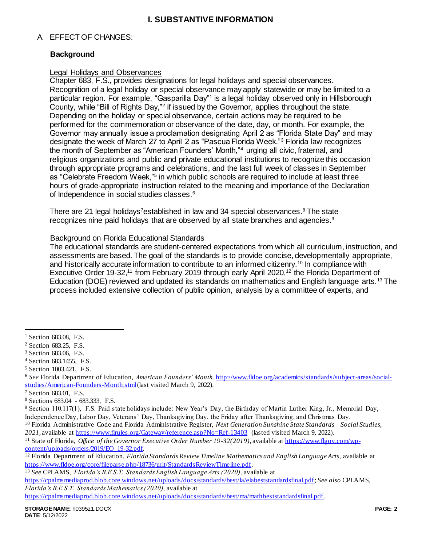# A. EFFECT OF CHANGES:

# **Background**

## Legal Holidays and Observances

Chapter 683, F.S., provides designations for legal holidays and special observances. Recognition of a legal holiday or special observance may apply statewide or may be limited to a particular region. For example, "Gasparilla Day"<sup>1</sup> is a legal holiday observed only in Hillsborough County, while "Bill of Rights Day,"<sup>2</sup> if issued by the Governor, applies throughout the state. Depending on the holiday or special observance, certain actions may be required to be performed for the commemoration or observance of the date, day, or month. For example, the Governor may annually issue a proclamation designating April 2 as "Florida State Day" and may designate the week of March 27 to April 2 as "Pascua Florida Week."<sup>3</sup> Florida law recognizes the month of September as "American Founders' Month,"<sup>4</sup> urging all civic, fraternal, and religious organizations and public and private educational institutions to recognize this occasion through appropriate programs and celebrations, and the last full week of classes in September as "Celebrate Freedom Week,"<sup>5</sup> in which public schools are required to include at least three hours of grade-appropriate instruction related to the meaning and importance of the Declaration of Independence in social studies classes.<sup>6</sup>

There are 21 legal holidays<sup>7</sup>established in law and 34 special observances.<sup>8</sup> The state recognizes nine paid holidays that are observed by all state branches and agencies.<sup>9</sup>

### Background on Florida Educational Standards

The educational standards are student-centered expectations from which all curriculum, instruction, and assessments are based. The goal of the standards is to provide concise, developmentally appropriate, and historically accurate information to contribute to an informed citizenry.<sup>10</sup> In compliance with Executive Order 19-32,<sup>11</sup> from February 2019 through early April 2020,<sup>12</sup> the Florida Department of Education (DOE) reviewed and updated its standards on mathematics and English language arts.<sup>13</sup> The process included extensive collection of public opinion, analysis by a committee of experts, and

 $\overline{a}$ 

<sup>&</sup>lt;sup>1</sup> Section 683.08, F.S.

<sup>2</sup> Section 683.25, F.S.

<sup>3</sup> Section 683.06, F.S.

<sup>4</sup> Section 683.1455, F.S.

<sup>5</sup> Section 1003.421, F.S.

<sup>6</sup> *See* Florida Department of Education, *American Founders' Month*[, http://www.fldoe.org/academics/standards/subject-areas/social](http://www.fldoe.org/academics/standards/subject-areas/social-studies/American-Founders-Month.stml)[studies/American-Founders-Month.stml](http://www.fldoe.org/academics/standards/subject-areas/social-studies/American-Founders-Month.stml) (last visited March 9, 2022).

<sup>7</sup> Section 683.01, F.S.

<sup>8</sup> Sections 683.04 - 683.333, F.S.

<sup>9</sup> Section 110.117(1), F.S. Paid state holidays include: New Year's Day, the Birthday of Martin Luther King, Jr., Memorial Day, Independence Day, Labor Day, Veterans' Day, Thanksgiving Day, the Friday after Thanksgiving, and Christmas Day.

<sup>10</sup> Florida Administrative Code and Florida Administrative Register, *Next Generation Sunshine State Standards – Social Studies,*  2021, available at<https://www.flrules.org/Gateway/reference.asp?No=Ref-13403> (lasted visited March 9, 2022).

<sup>11</sup> State of Florida, *Office of the Governor Executive Order Number 19-32(2019),* available a[t https://www.flgov.com/wp](https://www.flgov.com/wp-content/uploads/orders/2019/EO_19-32.pdf)[content/uploads/orders/2019/EO\\_19-32.pdf.](https://www.flgov.com/wp-content/uploads/orders/2019/EO_19-32.pdf)

<sup>12</sup> Florida Department of Education, *Florida Standards Review Timeline Mathematics and English Language Arts,* available at [https://www.fldoe.org/core/fileparse.php/18736/urlt/StandardsReviewTimeline.pdf.](https://www.fldoe.org/core/fileparse.php/18736/urlt/StandardsReviewTimeline.pdf) 

<sup>13</sup> *See* CPLAMS, *Florida's B.E.S.T. Standards English Language Arts (2020),* available at

[https://cpalmsmediaprod.blob.core.windows.net/uploads/docs/standards/best/la/elabeststandardsfinal.pdf;](https://cpalmsmediaprod.blob.core.windows.net/uploads/docs/standards/best/la/elabeststandardsfinal.pdf) *See also* CPLAMS, *Florida's B.E.S.T. Standards Mathematics (2020),* available at

[https://cpalmsmediaprod.blob.core.windows.net/uploads/docs/standards/best/ma/mathbeststandardsfinal.pdf.](https://cpalmsmediaprod.blob.core.windows.net/uploads/docs/standards/best/ma/mathbeststandardsfinal.pdf)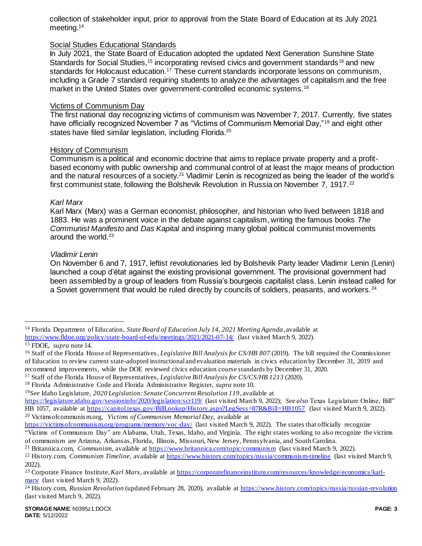collection of stakeholder input, prior to approval from the State Board of Education at its July 2021 meeting.<sup>14</sup>

## Social Studies Educational Standards

In July 2021, the State Board of Education adopted the updated Next Generation Sunshine State Standards for Social Studies,<sup>15</sup> incorporating revised civics and government standards<sup>16</sup> and new standards for Holocaust education.<sup>17</sup> These current standards incorporate lessons on communism, including a Grade 7 standard requiring students to analyze the advantages of capitalism and the free market in the United States over government-controlled economic systems.<sup>18</sup>

#### Victims of Communism Day

The first national day recognizing victims of communism was November 7, 2017. Currently, five states have officially recognized November 7 as "Victims of Communism Memorial Day,"<sup>19</sup> and eight other states have filed similar legislation, including Florida.<sup>20</sup>

### History of Communism

Communism is a political and economic doctrine that aims to replace private property and a profitbased economy with public ownership and communal control of at least the major means of production and the natural resources of a society.<sup>21</sup> Vladimir Lenin is recognized as being the leader of the world's first communist state, following the Bolshevik Revolution in Russia on November 7, 1917.<sup>22</sup>

#### *Karl Marx*

Karl Marx (Marx) was a German economist, philosopher, and historian who lived between 1818 and 1883. He was a prominent voice in the debate against capitalism, writing the famous books *The Communist Manifesto* and *Das Kapital* and inspiring many global political communist movements around the world.<sup>23</sup>

### <span id="page-2-0"></span>*Vladimir Lenin*

On November 6 and 7, 1917, leftist revolutionaries led by Bolshevik Party leader Vladimir Lenin (Lenin) launched a coup d'état against the existing provisional government. The provisional government had been assembled by a group of leaders from Russia's bourgeois capitalist class. Lenin instead called for a Soviet government that would be ruled directly by councils of soldiers, peasants, and workers.<sup>24</sup>

 $\overline{a}$ 

<sup>14</sup> Florida Department of Education, *State Board of Education July 14, 2021 Meeting Agenda*, available at <https://www.fldoe.org/policy/state-board-of-edu/meetings/2021/2021-07-14/> (last visited March 9, 2022).

<sup>15</sup> FDOE, *supra* note 14.

<sup>&</sup>lt;sup>16</sup> Staff of the Florida House of Representatives, *Legislative Bill Analysis for CS/HB 807* (2019). The bill required the Commissioner of Education to review current state-adopted instructional and evaluation materials in civics education by December 31, 2019 and recommend improvements, while the DOE reviewed civics education course standards by December 31, 2020.

<sup>17</sup> Staff of the Florida House of Representatives, *Legislative Bill Analysis for CS/CS/HB 1213* (2020).

<sup>18</sup> Florida Administrative Code and Florida Administrative Register, *supra* note 10.

<sup>19</sup>*See* Idaho Legislature, *2020 Legislation: Senate Concurrent Resolution 119*, available at

<https://legislature.idaho.gov/sessioninfo/2020/legislation/scr119/> (last visited March 9, 2022); *See also* Texas Legislature Online, Bill" HB 1057, available a[t https://capitol.texas.gov/BillLookup/History.aspx?LegSess=87R&Bill=HB1057](https://capitol.texas.gov/BillLookup/History.aspx?LegSess=87R&Bill=HB1057) (last visited March 9, 2022). <sup>20</sup> Victimsofcommunis m.org, *Victims of Communism Memorial Day,* available at

<https://victimsofcommunism.org/programs/memory/voc-day/> (last visited March 9, 2022). The states that officially recognize "Victims of Communism Day" are Alabama, Utah, Texas, Idaho, and Virginia. The eight states working to also recognize the victims of communism are Arizona, Arkansas, Florida, Illinois, Missouri, New Jersey, Pennsylvania, and South Carolina.

<sup>21</sup> Britannica.com, *Communism*, available a[t https://www.britannica.com/topic/communism](https://www.britannica.com/topic/communism) (last visited March 9, 2022).

<sup>22</sup> History.com, *Communism Timeline*, available a[t https://www.history.com/topics/russia/communism-timeline](https://www.history.com/topics/russia/communism-timeline) (last visited March 9, 2022).

<sup>23</sup> Corporate Finance Institute, *Karl Marx*, available a[t https://corporatefinanceinstitute.com/resources/knowledge/economics/karl](https://corporatefinanceinstitute.com/resources/knowledge/economics/karl-marx/)[marx/](https://corporatefinanceinstitute.com/resources/knowledge/economics/karl-marx/) (last visited March 9, 2022).

<sup>24</sup> History.com, *Russian Revolution* (updated February 28, 2020), available a[t https://www.history.com/topics/russia/russian-revolution](https://www.history.com/topics/russia/russian-revolution) (last visited March 9, 2022).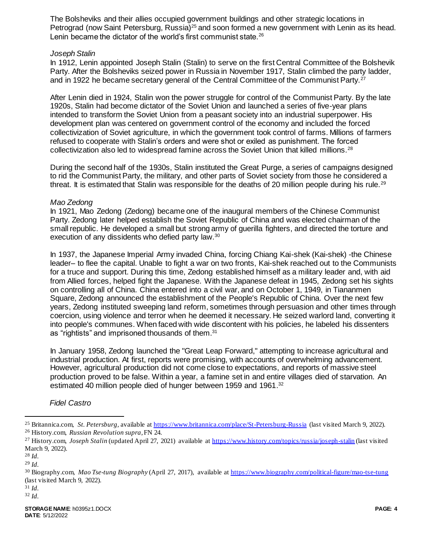The Bolsheviks and their allies occupied government buildings and other strategic locations in Petrograd (now Saint Petersburg, Russia)<sup>25</sup> and soon formed a new government with Lenin as its head. Lenin became the dictator of the world's first communist state.<sup>26</sup>

#### *Joseph Stalin*

In 1912, Lenin appointed Joseph Stalin (Stalin) to serve on the first Central Committee of the Bolshevik Party. After the Bolsheviks seized power in Russia in November 1917, Stalin climbed the party ladder, and in 1922 he became secretary general of the Central Committee of the Communist Party.<sup>27</sup>

After Lenin died in 1924, Stalin won the power struggle for control of the Communist Party. By the late 1920s, Stalin had become dictator of the Soviet Union and launched a series of five-year plans intended to transform the Soviet Union from a peasant society into an industrial superpower. His development plan was centered on government control of the economy and included the forced collectivization of Soviet agriculture, in which the government took control of farms. Millions of farmers refused to cooperate with Stalin's orders and were shot or exiled as punishment. The forced collectivization also led to widespread famine across the Soviet Union that killed millions.<sup>28</sup>

During the second half of the 1930s, Stalin instituted the Great Purge, a series of campaigns designed to rid the Communist Party, the military, and other parts of Soviet society from those he considered a threat. It is estimated that Stalin was responsible for the deaths of 20 million people during his rule.<sup>29</sup>

### *Mao Zedong*

In 1921, Mao Zedong (Zedong) became one of the inaugural members of the Chinese Communist Party. Zedong later helped establish the Soviet Republic of China and was elected chairman of the small republic. He developed a small but strong army of guerilla fighters, and directed the torture and execution of any dissidents who defied party law.<sup>30</sup>

In 1937, the Japanese Imperial Army invaded China, forcing Chiang Kai-shek (Kai-shek) -the Chinese leader– to flee the capital. Unable to fight a war on two fronts, Kai-shek reached out to the Communists for a truce and support. During this time, Zedong established himself as a military leader and, with aid from Allied forces, helped fight the Japanese. With the Japanese defeat in 1945, Zedong set his sights on controlling all of China. China entered into a civil war, and on October 1, 1949, in Tiananmen Square, Zedong announced the establishment of the People's Republic of China. Over the next few years, Zedong instituted sweeping land reform, sometimes through persuasion and other times through coercion, using violence and terror when he deemed it necessary. He seized warlord land, converting it into people's communes. When faced with wide discontent with his policies, he labeled his dissenters as "rightists" and imprisoned thousands of them.<sup>31</sup>

In January 1958, Zedong launched the "Great Leap Forward," attempting to increase agricultural and industrial production. At first, reports were promising, with accounts of overwhelming advancement. However, agricultural production did not come close to expectations, and reports of massive steel production proved to be false. Within a year, a famine set in and entire villages died of starvation. An estimated 40 million people died of hunger between 1959 and 1961.<sup>32</sup>

# *Fidel Castro*

l

<sup>&</sup>lt;sup>25</sup> Britannica.com, *St. Petersburg*, available a[t https://www.britannica.com/place/St-Petersburg-Russia](https://www.britannica.com/place/St-Petersburg-Russia) (last visited March 9, 2022). <sup>26</sup> History.com, *Russian Revolution supra*, F[N 24.](#page-2-0)

<sup>27</sup> History.com, *Joseph Stalin* (updated April 27, 2021) available a[t https://www.history.com/topics/russia/joseph-stalin](https://www.history.com/topics/russia/joseph-stalin) (last visited March 9, 2022).

<sup>28</sup> *Id.*

<sup>29</sup> *Id.* 

<sup>30</sup> Biography.com, *Mao Tse-tung Biography* (April 27, 2017), available a[t https://www.biography.com/political-figure/mao-tse-tung](https://www.biography.com/political-figure/mao-tse-tung) (last visited March 9, 2022).

<sup>31</sup> *Id.*

<sup>32</sup> *Id.*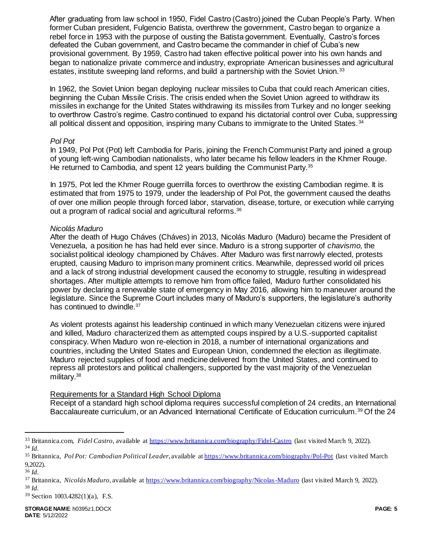After graduating from law school in 1950, Fidel Castro (Castro) joined the Cuban People's Party. When former Cuban president, Fulgencio Batista, overthrew the government, Castro began to organize a rebel force in 1953 with the purpose of ousting the Batista government. Eventually, Castro's forces defeated the Cuban government, and Castro became the commander in chief of Cuba's new provisional government. By 1959, Castro had taken effective political power into his own hands and began to nationalize private commerce and industry, expropriate American businesses and agricultural estates, institute sweeping land reforms, and build a partnership with the Soviet Union.<sup>33</sup>

In 1962, the Soviet Union began deploying nuclear missiles to Cuba that could reach American cities, beginning the Cuban Missile Crisis. The crisis ended when the Soviet Union agreed to withdraw its missiles in exchange for the United States withdrawing its missiles from Turkey and no longer seeking to overthrow Castro's regime. Castro continued to expand his dictatorial control over Cuba, suppressing all political dissent and opposition, inspiring many Cubans to immigrate to the United States.<sup>34</sup>

### *Pol Pot*

In 1949, Pol Pot (Pot) left Cambodia for Paris, joining the French Communist Party and joined a group of young left-wing Cambodian nationalists, who later became his fellow leaders in the Khmer Rouge. He returned to Cambodia, and spent 12 years building the Communist Party.<sup>35</sup>

In 1975, Pot led the Khmer Rouge guerrilla forces to overthrow the existing Cambodian regime. It is estimated that from 1975 to 1979, under the leadership of Pol Pot, the government caused the deaths of over one million people through forced labor, starvation, disease, torture, or execution while carrying out a program of radical social and agricultural reforms.<sup>36</sup>

### *Nicolás Maduro*

After the death of Hugo Cháves (Cháves) in 2013, Nicolás Maduro (Maduro) became the President of Venezuela, a position he has had held ever since. Maduro is a strong supporter of *chavismo,* the socialist political ideology championed by Cháves. After Maduro was first narrowly elected, protests erupted, causing Maduro to imprison many prominent critics. Meanwhile, depressed world oil prices and a lack of strong industrial development caused the economy to struggle, resulting in widespread shortages. After multiple attempts to remove him from office failed, Maduro further consolidated his power by declaring a renewable state of emergency in May 2016, allowing him to maneuver around the legislature. Since the Supreme Court includes many of Maduro's supporters, the legislature's authority has continued to dwindle.<sup>37</sup>

As violent protests against his leadership continued in which many Venezuelan citizens were injured and killed, Maduro characterized them as attempted coups inspired by a U.S.-supported capitalist conspiracy. When Maduro won re-election in 2018, a number of international organizations and countries, including the United States and European Union, condemned the election as illegitimate. Maduro rejected supplies of food and medicine delivered from the United States, and continued to repress all protestors and political challengers, supported by the vast majority of the Venezuelan military.<sup>38</sup>

# Requirements for a Standard High School Diploma

Receipt of a standard high school diploma requires successful completion of 24 credits, an International Baccalaureate curriculum, or an Advanced International Certificate of Education curriculum.<sup>39</sup> Of the 24

l

<sup>33</sup> Britannica.com, *Fidel Castro,* available a[t https://www.britannica.com/biography/Fidel-Castro](https://www.britannica.com/biography/Fidel-Castro) (last visited March 9, 2022). <sup>34</sup> *Id.*

<sup>35</sup> Britannica, *Pol Pot: Cambodian Political Leader*, available a[t https://www.britannica.com/biography/Pol-Pot](https://www.britannica.com/biography/Pol-Pot) (last visited March 9,2022).

<sup>36</sup> *Id.*

<sup>37</sup> Britannica, *Nicolás Maduro,* available a[t https://www.britannica.com/biography/Nicolas-Maduro](https://www.britannica.com/biography/Nicolas-Maduro) (last visited March 9, 2022). <sup>38</sup> *Id.*

<sup>39</sup> Section 1003.4282(1)(a), F.S.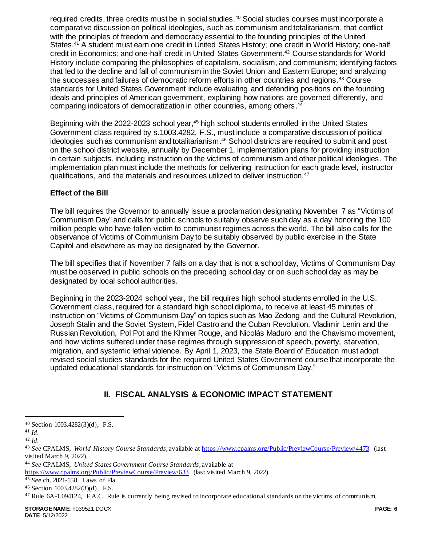required credits, three credits must be in social studies.<sup>40</sup> Social studies courses must incorporate a comparative discussion on political ideologies, such as communism and totalitarianism, that conflict with the principles of freedom and democracy essential to the founding principles of the United States.<sup>41</sup> A student must earn one credit in United States History; one credit in World History; one-half credit in Economics; and one-half credit in United States Government.<sup>42</sup> Course standards for World History include comparing the philosophies of capitalism, socialism, and communism; identifying factors that led to the decline and fall of communism in the Soviet Union and Eastern Europe; and analyzing the successes and failures of democratic reform efforts in other countries and regions.<sup>43</sup> Course standards for United States Government include evaluating and defending positions on the founding ideals and principles of American government, explaining how nations are governed differently, and comparing indicators of democratization in other countries, among others. 44

Beginning with the 2022-2023 school year,<sup>45</sup> high school students enrolled in the United States Government class required by s.1003.4282, F.S., must include a comparative discussion of political ideologies such as communism and totalitarianism. <sup>46</sup> School districts are required to submit and post on the school district website, annually by December 1, implementation plans for providing instruction in certain subjects, including instruction on the victims of communism and other political ideologies. The implementation plan must include the methods for delivering instruction for each grade level, instructor qualifications, and the materials and resources utilized to deliver instruction.<sup>47</sup>

# **Effect of the Bill**

The bill requires the Governor to annually issue a proclamation designating November 7 as "Victims of Communism Day" and calls for public schools to suitably observe such day as a day honoring the 100 million people who have fallen victim to communist regimes across the world. The bill also calls for the observance of Victims of Communism Day to be suitably observed by public exercise in the State Capitol and elsewhere as may be designated by the Governor.

The bill specifies that if November 7 falls on a day that is not a school day, Victims of Communism Day must be observed in public schools on the preceding school day or on such school day as may be designated by local school authorities.

Beginning in the 2023-2024 school year, the bill requires high school students enrolled in the U.S. Government class, required for a standard high school diploma, to receive at least 45 minutes of instruction on "Victims of Communism Day" on topics such as Mao Zedong and the Cultural Revolution, Joseph Stalin and the Soviet System, Fidel Castro and the Cuban Revolution, Vladimir Lenin and the Russian Revolution, Pol Pot and the Khmer Rouge, and Nicolás Maduro and the Chavismo movement, and how victims suffered under these regimes through suppression of speech, poverty, starvation, migration, and systemic lethal violence. By April 1, 2023, the State Board of Education must adopt revised social studies standards for the required United States Government course that incorporate the updated educational standards for instruction on "Victims of Communism Day."

# **II. FISCAL ANALYSIS & ECONOMIC IMPACT STATEMENT**

l

<sup>40</sup> Section 1003.4282(3)(d), F.S.

<sup>41</sup> *Id.*

<sup>42</sup> *Id.*

<sup>43</sup> *See* CPALMS, *World History Course Standards*, available at <https://www.cpalms.org/Public/PreviewCourse/Preview/4473> (last visited March 9, 2022).

<sup>44</sup> *See* CPALMS, *United States Government Course Standards*, available at

<https://www.cpalms.org/Public/PreviewCourse/Preview/633> (last visited March 9, 2022).

<sup>45</sup> *See* ch. 2021-158, Laws of Fla.

<sup>46</sup> Section 1003.4282(3)(d), F.S.

<sup>47</sup> Rule 6A-1.094124, F.A.C. Rule is currently being revised to incorporate educational standards on the victims of communism.